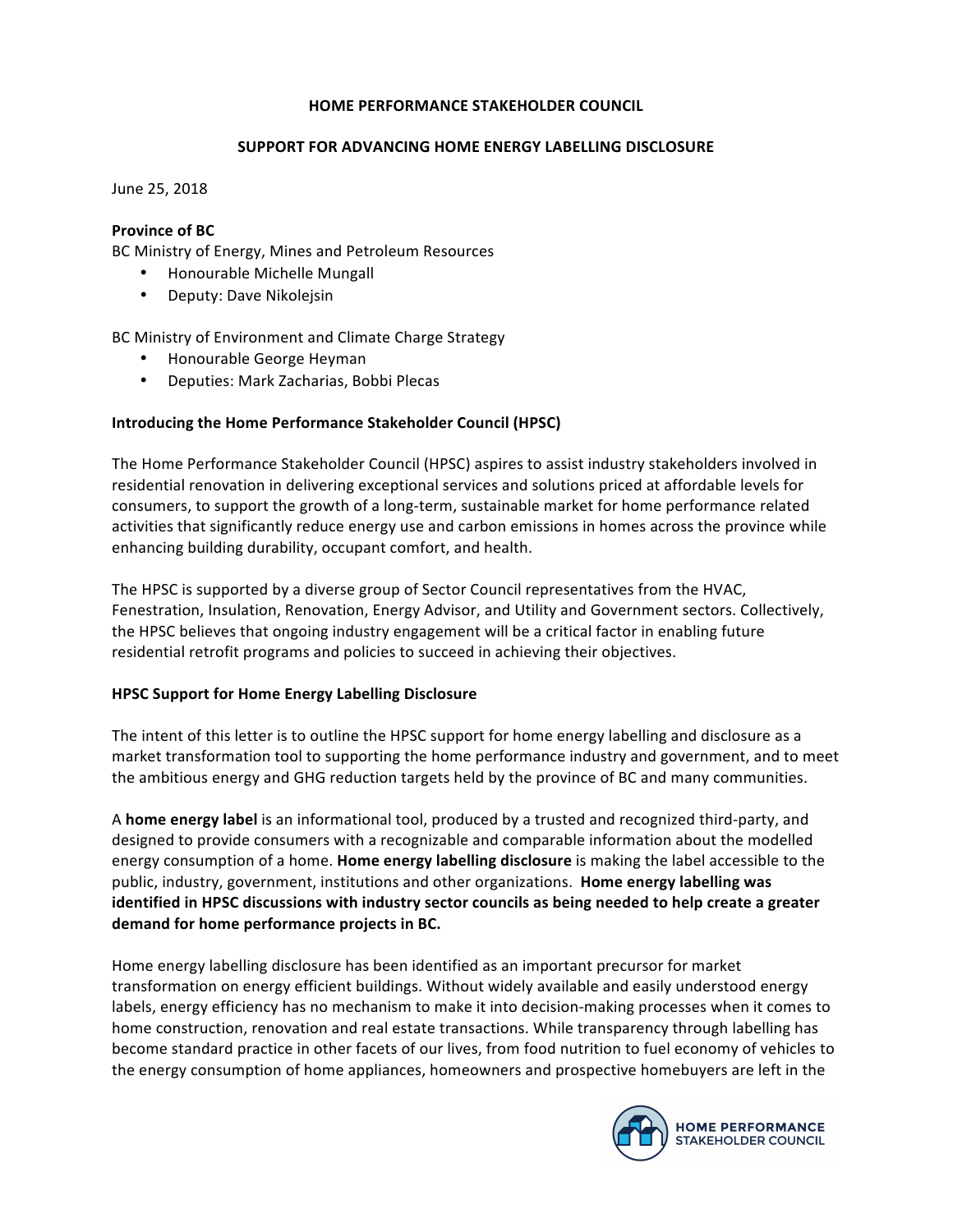#### **HOME PERFORMANCE STAKEHOLDER COUNCIL**

### **SUPPORT FOR ADVANCING HOME ENERGY LABELLING DISCLOSURE**

June 25, 2018

# **Province of BC**

BC Ministry of Energy, Mines and Petroleum Resources

- Honourable Michelle Mungall
- Deputy: Dave Nikolejsin

BC Ministry of Environment and Climate Charge Strategy

- Honourable George Heyman
- Deputies: Mark Zacharias, Bobbi Plecas

# **Introducing the Home Performance Stakeholder Council (HPSC)**

The Home Performance Stakeholder Council (HPSC) aspires to assist industry stakeholders involved in residential renovation in delivering exceptional services and solutions priced at affordable levels for consumers, to support the growth of a long-term, sustainable market for home performance related activities that significantly reduce energy use and carbon emissions in homes across the province while enhancing building durability, occupant comfort, and health.

The HPSC is supported by a diverse group of Sector Council representatives from the HVAC, Fenestration, Insulation, Renovation, Energy Advisor, and Utility and Government sectors. Collectively, the HPSC believes that ongoing industry engagement will be a critical factor in enabling future residential retrofit programs and policies to succeed in achieving their objectives.

### **HPSC Support for Home Energy Labelling Disclosure**

The intent of this letter is to outline the HPSC support for home energy labelling and disclosure as a market transformation tool to supporting the home performance industry and government, and to meet the ambitious energy and GHG reduction targets held by the province of BC and many communities.

A **home energy label** is an informational tool, produced by a trusted and recognized third-party, and designed to provide consumers with a recognizable and comparable information about the modelled energy consumption of a home. **Home energy labelling disclosure** is making the label accessible to the public, industry, government, institutions and other organizations. **Home energy labelling was identified in HPSC discussions with industry sector councils as being needed to help create a greater** demand for home performance projects in BC.

Home energy labelling disclosure has been identified as an important precursor for market transformation on energy efficient buildings. Without widely available and easily understood energy labels, energy efficiency has no mechanism to make it into decision-making processes when it comes to home construction, renovation and real estate transactions. While transparency through labelling has become standard practice in other facets of our lives, from food nutrition to fuel economy of vehicles to the energy consumption of home appliances, homeowners and prospective homebuyers are left in the

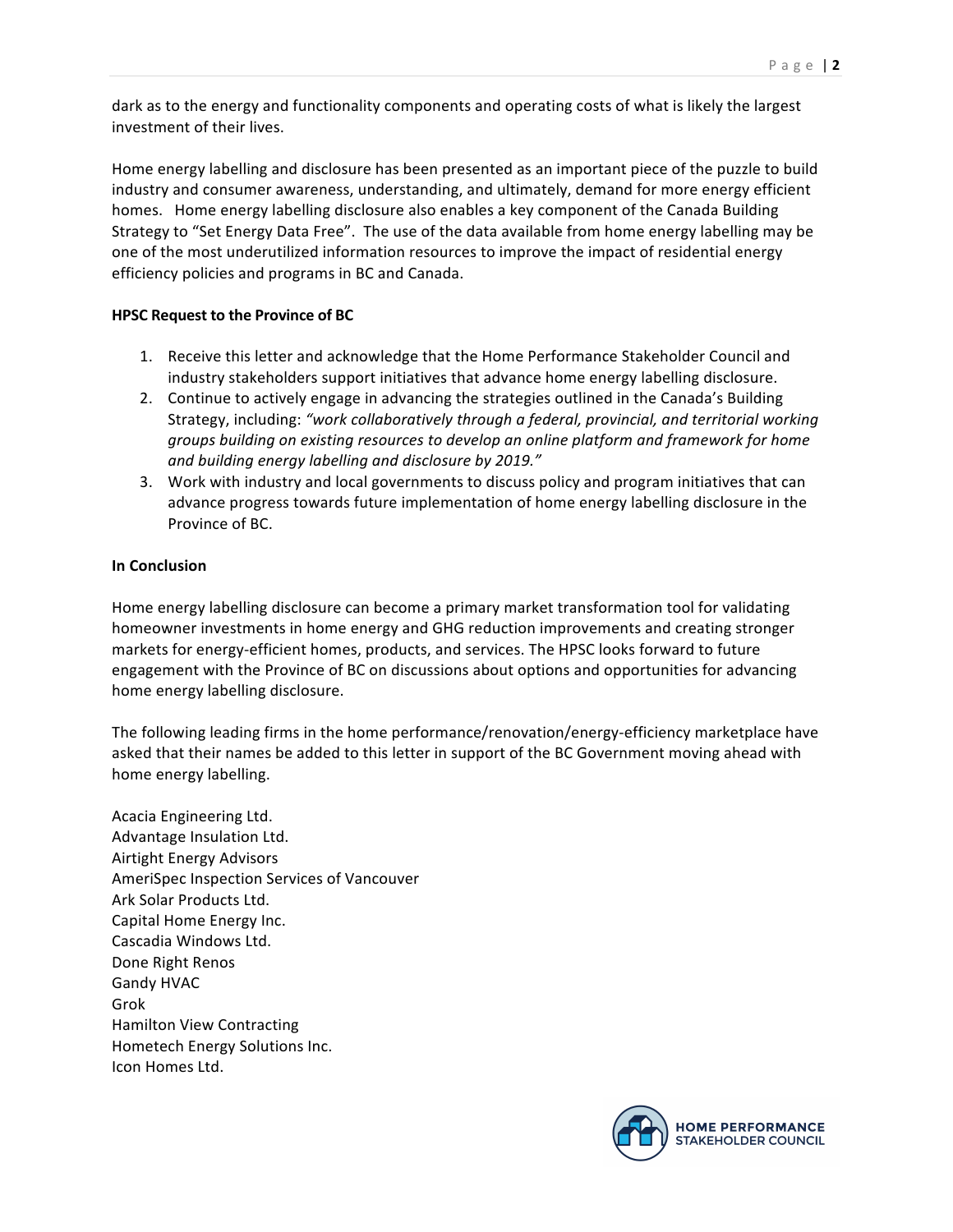dark as to the energy and functionality components and operating costs of what is likely the largest investment of their lives.

Home energy labelling and disclosure has been presented as an important piece of the puzzle to build industry and consumer awareness, understanding, and ultimately, demand for more energy efficient homes. Home energy labelling disclosure also enables a key component of the Canada Building Strategy to "Set Energy Data Free". The use of the data available from home energy labelling may be one of the most underutilized information resources to improve the impact of residential energy efficiency policies and programs in BC and Canada.

### **HPSC Request to the Province of BC**

- 1. Receive this letter and acknowledge that the Home Performance Stakeholder Council and industry stakeholders support initiatives that advance home energy labelling disclosure.
- 2. Continue to actively engage in advancing the strategies outlined in the Canada's Building Strategy, including: "work collaboratively through a federal, provincial, and territorial working *groups building on existing resources to develop an online platform and framework for home* and building energy labelling and disclosure by 2019."
- 3. Work with industry and local governments to discuss policy and program initiatives that can advance progress towards future implementation of home energy labelling disclosure in the Province of BC.

# **In Conclusion**

Home energy labelling disclosure can become a primary market transformation tool for validating homeowner investments in home energy and GHG reduction improvements and creating stronger markets for energy-efficient homes, products, and services. The HPSC looks forward to future engagement with the Province of BC on discussions about options and opportunities for advancing home energy labelling disclosure.

The following leading firms in the home performance/renovation/energy-efficiency marketplace have asked that their names be added to this letter in support of the BC Government moving ahead with home energy labelling.

Acacia Engineering Ltd. Advantage Insulation Ltd. Airtight Energy Advisors AmeriSpec Inspection Services of Vancouver Ark Solar Products Ltd. Capital Home Energy Inc. Cascadia Windows Ltd. Done Right Renos Gandy HVAC Grok Hamilton View Contracting Hometech Energy Solutions Inc. Icon Homes Ltd.